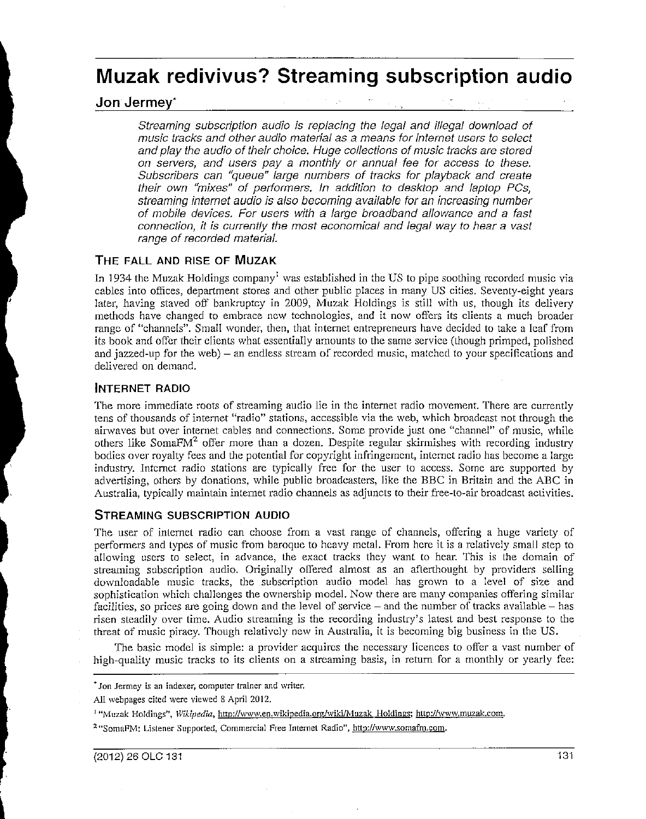# **Muzak redivivus? Streaming subscription audio**

## Jon Jermey·

Streaming subscription audio is replacing the legal and illegal download of music tracks and other audio material as a means for internet users to select and play the audio of their choice. Huge collections of music tracks are stored on servers, and users pay a monthly or annual fee for access to these. Subscribers can "queue" large numbers of tracks for playback and create their own "mixes" of performers. In addition to desktop and laptop PCs, streaming internet audio is also becoming available for an increasing number of mobile devices. For users with a large broadband allowance and a fast connection, it is currently the most economical and legal way to hear a vast range of recorded material.

## THE FALL AND RISE OF MUZAK

In 1934 the Muzak Holdings company<sup>1</sup> was established in the US to pipe soothing recorded music via cables into offices, department stores and other public places in many US cities. Seventy-eight years later, having staved off bankruptcy in 2009, Muzak Holdings is still with us, though its delivery methods have changed to embrace new technologies, and it now offers its clients a much broader range of "channels". Small wonder, then, that internet entrepreneurs have decided to take a leaf from its book and offer their clients what essentially amounts to the same service (though primped, polished and jazzed-up for the web) – an endless stream of recorded music, matched to your specifications and delivered on demand.

## INTERNET RADIO

The more immediate roots of streaming audio lie in the internet radio movement. There are currently tens of thousands of internet "radio" stations, accessible via the web, which broadcast not through the airwaves but over internet cables and connections. Some provide just one "channel" of music, while others like SomaF $M<sup>2</sup>$  offer more than a dozen. Despite regular skirmishes with recording industry bodies over royalty fees and the potential for copyright infringement, internet radio has become a large industry. Internet radio stations are typically free for the user to access. Some are supported by advertising, others by donations, while public broadcasters, like the BBC in Britain and the ABC in Australia, typically maintain internet radio channels as adjuncts to their free-to-air broadcast activities.

## STREAMING SUBSCRIPTION AUDIO

The user of internet radio can choose from a vast range of channels, offering a huge variety of performers and types of music from baroque to heavy metal. From here it is a relatively small step to allowing users to select, in advance, the exact tracks they want to hear. This is the domain of streaming subscription audio. Originally offered almost as an afterthought by providers selling downloadable music tracks, the subscription audio model has grown to a level of size and sophistication which challenges the ownership model. Now there are many companies offering similar facilities, so prices are going down and the level of service  $-$  and the number of tracks available  $-$  has risen steadily over time. Audio streaming is the recording industry's latest and best response to the threat of music piracy. Though relatively new in Australia, it is becoming big business in the US.

The basic model is simple: a provider acquires the necessary licences to offer a vast number of high-quality music tracks to its clients on a streaming basis, in return for a monthly or yearly fee:

<sup>•</sup>Jon Jermey is an indexer, computer trainer and writer.

All webpages cited were viewed 8 April 2012.

<sup>&</sup>lt;sup>1</sup> "Muzak Holdings", Wikipedia, http://www.en.wikipedia.org/wiki/Muzak Holdings; http://www.muzak.com.

<sup>&</sup>lt;sup>2</sup> "SomaFM: Listener Supported, Commercial Free Internet Radio", http://www.somafm.com.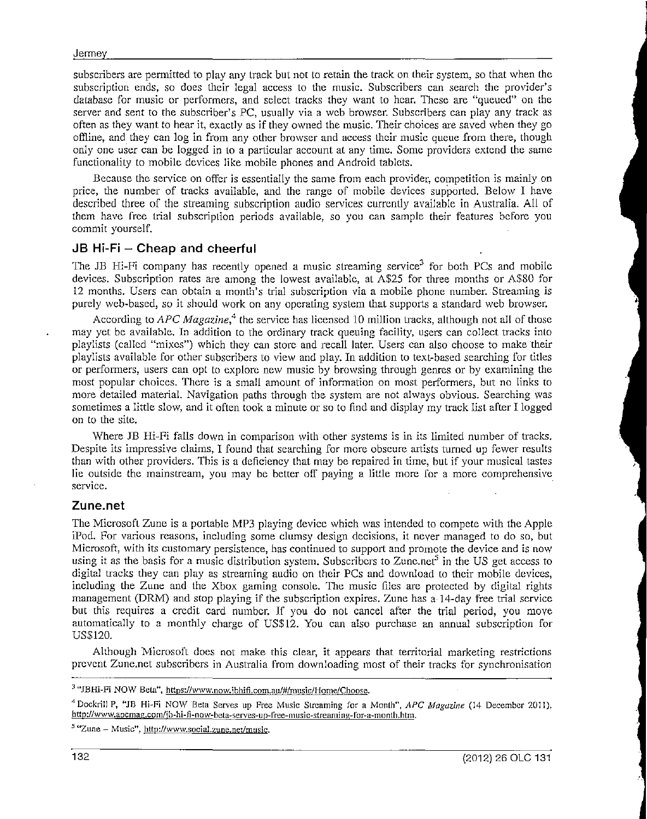subscribers are permitted to play any track but not to retain the track on their system, so that when the subscription ends, so does their legal access to the music. Subscribers can search the provider's database for music or performers, and select tracks they want to hear. These are "queued" on the server and sent to the subscriber's PC, usually via a web browser. Subscribers can play any track as often as they want to hear it, exactly as if they owned the music. Their choices are saved \Vhen they go offline, and they can log in from any other browser and access their music queue from there, though only one user can be logged in to a particular account at any time. Some providers extend the same functionality to mobile devices like mobile phones and Android tablets.

Because the service on offer is essentially the same from each provider, competition is mainly on price, the number of tracks available, and the range of mobile devices supported. Below I have described three of the streaming subscription audio services currenlly available in Australia. All of them have free trial subscription periods available, so you can sample their features before you commit yourself.

## $JB$  Hi-Fi  $-$  Cheap and cheerful

The JB Hi-Fi company has recently opened a music streaming service<sup>3</sup> for both PCs and mobile devices. Subscription rates are among the lowest available, al A\$25 for three months or A\$80 for 12 months. Users can obtain a month's trial subscription via a mobile phone number. Streaming is purely web-based, so it should work on any operating syslem that supports a standard web browser.

According to *APC Magazine, <sup>4</sup>*the service has licensed 10 million tracks, although not all of those may yet be available. In addition to the ordinary track queuing facility, users can collect tracks into playlists (called "mixes") which they can store and recall later. Users can also choose to make their playlists available for other subscribers to view and play. In addition to text-based searching for titles or performers, users can opt to explore new music by browsing through genres or by examining the most popular choices. There is a small amount of information on most performers, but no links to more detailed material. Navigation paths through the system are not always obvious. Searching was sometimes a little slow, and it often took a minute or so to find and display my track list after I logged on to the site.

Where JB Hi-Fi falls down in comparison with other systems is in its limited number of tracks. Despite its impressive claims, I found that searching for more obscure artists turned up fewer results than with other providers. This is a deficiency that may be repaired in time, but if your musical tastes lie outside the mainstream, you may be better off payjng a little more for a more comprehensive service.

### Zune.net

The Microsoft Zune is a portable MP3 playing device which was intended to compete with the Apple iPod. For various reasons, including some clumsy design decisions, it never managed to do so, but Microsoft, with its customary persistence, has continued to support and promote the device and is now using it as the basis for a music distribution system. Subscribers to Zunc.net<sup>5</sup> in the US get access to digital tracks they can play as streaming audio on their PCs and download to their mobile devices, including the Zune and the Xbox gaming console. The music files are protected by digital rights management (DRM) and stop playing if the subscription expires. Zune has a 14-day free trial service but this requires a credit card number. ff you do not cancel after the trial period, you move automatically to a monthly charge of US\$12. You can also purchase an annual subscription for US\$120.

Although Microsoft does not make this clear, it appears that territorial marketing restrictions prevent Zune.net subscribers in Australia from downloading most of their tracks for synchronisation

*<sup>5</sup>*"Zune - Music", http://www.social.zune.net/music.

<sup>&</sup>lt;sup>3</sup> "JBHi-Fi NOW Beta", https://www.now.jbhifi.com.au/#/music/Home/Choose.

<sup>4</sup> Docktill P, "JB Hi-Fi NO\V Beta Serves up Free Music Slrcaming for a Month'', *APC Magazine* (14 December 2011), http://www.apcmag.com/jb-hi-fi-now-beta-serves-up-free-music-streaming-for-a-month.htm.